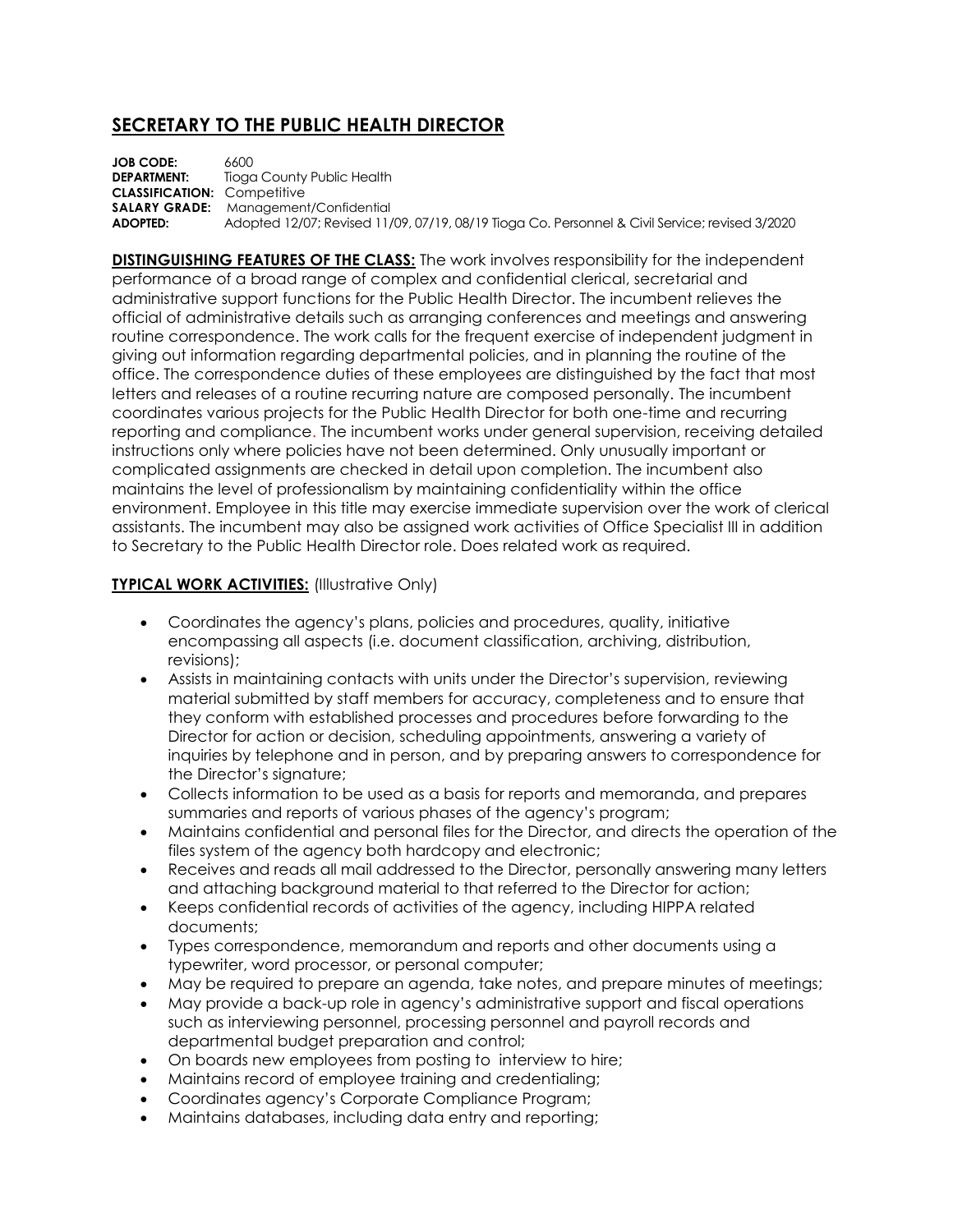## **SECRETARY TO THE PUBLIC HEALTH DIRECTOR**

**JOB CODE:** 6600<br>**DEPARTMENT:** Tioac **Tioga County Public Health CLASSIFICATION:** Competitive **SALARY GRADE:** Management/Confidential<br>**ADOPTED:** Adopted 12/07: Revised 11/ **ADOPTED:** Adopted 12/07; Revised 11/09, 07/19, 08/19 Tioga Co. Personnel & Civil Service; revised 3/2020

**DISTINGUISHING FEATURES OF THE CLASS:** The work involves responsibility for the independent performance of a broad range of complex and confidential clerical, secretarial and administrative support functions for the Public Health Director. The incumbent relieves the official of administrative details such as arranging conferences and meetings and answering routine correspondence. The work calls for the frequent exercise of independent judgment in giving out information regarding departmental policies, and in planning the routine of the office. The correspondence duties of these employees are distinguished by the fact that most letters and releases of a routine recurring nature are composed personally. The incumbent coordinates various projects for the Public Health Director for both one-time and recurring reporting and compliance. The incumbent works under general supervision, receiving detailed instructions only where policies have not been determined. Only unusually important or complicated assignments are checked in detail upon completion. The incumbent also maintains the level of professionalism by maintaining confidentiality within the office environment. Employee in this title may exercise immediate supervision over the work of clerical assistants. The incumbent may also be assigned work activities of Office Specialist III in addition to Secretary to the Public Health Director role. Does related work as required.

## **TYPICAL WORK ACTIVITIES: (Illustrative Only)**

- Coordinates the agency's plans, policies and procedures, quality, initiative encompassing all aspects (i.e. document classification, archiving, distribution, revisions);
- Assists in maintaining contacts with units under the Director's supervision, reviewing material submitted by staff members for accuracy, completeness and to ensure that they conform with established processes and procedures before forwarding to the Director for action or decision, scheduling appointments, answering a variety of inquiries by telephone and in person, and by preparing answers to correspondence for the Director's signature;
- Collects information to be used as a basis for reports and memoranda, and prepares summaries and reports of various phases of the agency's program;
- Maintains confidential and personal files for the Director, and directs the operation of the files system of the agency both hardcopy and electronic;
- Receives and reads all mail addressed to the Director, personally answering many letters and attaching background material to that referred to the Director for action;
- Keeps confidential records of activities of the agency, including HIPPA related documents;
- Types correspondence, memorandum and reports and other documents using a typewriter, word processor, or personal computer;
- May be required to prepare an agenda, take notes, and prepare minutes of meetings;
- May provide a back-up role in agency's administrative support and fiscal operations such as interviewing personnel, processing personnel and payroll records and departmental budget preparation and control;
- On boards new employees from posting to interview to hire;
- Maintains record of employee training and credentialing;
- Coordinates agency's Corporate Compliance Program;
- Maintains databases, including data entry and reporting;